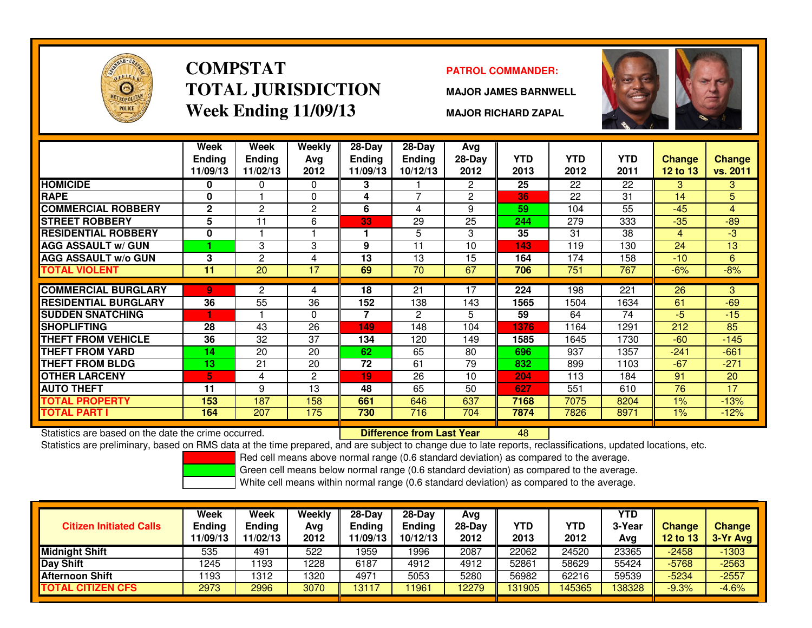

### **COMPSTATTOTAL JURISDICTIONWeek Ending 11/09/13**

### **PATROL COMMANDER:**

**MAJOR JAMES BARNWELL**



**MAJOR RICHARD ZAPAL**

|                                                      | Week<br><b>Ending</b><br>11/09/13 | Week<br><b>Ending</b><br>11/02/13 | Weekly<br>Ava<br>2012 | $28-Day$<br>Ending<br>11/09/13 | $28 - Day$<br><b>Ending</b><br>10/12/13 | Avg<br>28-Day<br>2012 | <b>YTD</b><br>2013 | <b>YTD</b><br>2012 | <b>YTD</b><br>2011 | Change<br><b>12 to 13</b> | <b>Change</b><br>vs. 2011 |
|------------------------------------------------------|-----------------------------------|-----------------------------------|-----------------------|--------------------------------|-----------------------------------------|-----------------------|--------------------|--------------------|--------------------|---------------------------|---------------------------|
| <b>HOMICIDE</b>                                      | 0                                 | 0                                 | 0                     | 3                              |                                         | $\mathbf{2}$          | 25                 | 22                 | 22                 | 3                         | 3                         |
| <b>RAPE</b>                                          | 0                                 |                                   | 0                     | 4                              | $\overline{\phantom{a}}$                | $\overline{2}$        | 36                 | 22                 | 31                 | 14                        | 5                         |
| <b>COMMERCIAL ROBBERY</b>                            | $\mathbf{2}$                      | 2                                 | 2                     | 6                              | 4                                       | 9                     | 59                 | 104                | 55                 | $-45$                     | $\overline{4}$            |
| <b>STREET ROBBERY</b>                                | 5                                 | 11                                | 6                     | 33                             | 29                                      | 25                    | 244                | 279                | 333                | $-35$                     | $-89$                     |
| <b>RESIDENTIAL ROBBERY</b>                           | $\bf{0}$                          |                                   |                       |                                | 5                                       | 3                     | 35                 | 31                 | 38                 | 4                         | $-3$                      |
| <b>AGG ASSAULT w/ GUN</b>                            |                                   | 3                                 | 3                     | 9                              | 11                                      | 10                    | 143                | 119                | 130                | 24                        | 13                        |
| <b>AGG ASSAULT w/o GUN</b>                           | 3                                 | $\overline{c}$                    | 4                     | 13                             | 13                                      | 15                    | 164                | 174                | 158                | $-10$                     | 6                         |
| TOTAL VIOLENT                                        | 11                                | $\overline{20}$                   | 17                    | 69                             | 70                                      | 67                    | 706                | 751                | 767                | $-6%$                     | $-8%$                     |
|                                                      |                                   |                                   |                       |                                |                                         |                       |                    |                    |                    |                           |                           |
| <b>COMMERCIAL BURGLARY</b>                           | 9                                 | $\overline{2}$                    | 4                     | 18                             | 21                                      | 17                    | 224                | 198                | 221                | 26                        | 3                         |
| <b>RESIDENTIAL BURGLARY</b>                          | 36                                | 55                                | 36                    | 152                            | 138                                     | 143                   | 1565               | 1504               | 1634               | 61                        | $-69$                     |
| <b>SUDDEN SNATCHING</b>                              |                                   |                                   | $\Omega$              | 7                              | 2                                       | 5.                    | 59                 | 64                 | 74                 | $-5$                      | $-15$                     |
| <b>SHOPLIFTING</b>                                   | 28                                | 43                                | 26                    | 149                            | 148                                     | 104                   | 1376               | 1164               | 1291               | 212                       | 85                        |
| <b>THEFT FROM VEHICLE</b>                            | 36                                | 32                                | 37                    | 134                            | 120                                     | 149                   | 1585               | 1645               | 1730               | $-60$                     | $-145$                    |
| <b>THEFT FROM YARD</b>                               | 14                                | 20                                | 20                    | 62                             | 65                                      | 80                    | 696                | 937                | 1357               | $-241$                    | $-661$                    |
| <b>THEFT FROM BLDG</b>                               | 13                                | 21                                | 20                    | 72                             | 61                                      | 79                    | 832                | 899                | 1103               | $-67$                     | $-271$                    |
| <b>OTHER LARCENY</b>                                 | 5                                 | 4                                 | $\overline{2}$        | 19                             | 26                                      | 10                    | 204                | 113                | 184                | 91                        | 20                        |
| <b>AUTO THEFT</b>                                    | 11                                | 9                                 | 13                    | 48                             | 65                                      | 50                    | 627                | 551                | 610                | 76                        | 17                        |
| <b>TOTAL PROPERTY</b>                                | 153                               | 187                               | 158                   | 661                            | 646                                     | 637                   | 7168               | 7075               | 8204               | $1\%$                     | $-13%$                    |
| <b>TOTAL PART I</b>                                  | 164                               | 207                               | 175                   | 730                            | 716                                     | 704                   | 7874               | 7826               | 8971               | 1%                        | $-12%$                    |
| Statistics are based on the date the crime occurred. |                                   |                                   |                       |                                | <b>Difference from Last Year</b>        |                       | 48                 |                    |                    |                           |                           |

Statistics are based on the date the crime occurred. **Difference from Last Year** 

Statistics are preliminary, based on RMS data at the time prepared, and are subject to change due to late reports, reclassifications, updated locations, etc.

Red cell means above normal range (0.6 standard deviation) as compared to the average.

Green cell means below normal range (0.6 standard deviation) as compared to the average.

| <b>Citizen Initiated Calls</b> | Week<br>Ending<br>11/09/13 | <b>Week</b><br><b>Ending</b><br>11/02/13 | Weekly<br>Avg<br>2012 | 28-Day<br><b>Endina</b><br>1/09/13 | $28-Day$<br>Ending<br>10/12/13 | Avg<br>$28-Dav$<br>2012 | <b>YTD</b><br>2013 | YTD<br>2012 | <b>YTD</b><br>3-Year<br>Avg | <b>Change</b><br>12 to 13 | <b>Change</b><br>3-Yr Avg |
|--------------------------------|----------------------------|------------------------------------------|-----------------------|------------------------------------|--------------------------------|-------------------------|--------------------|-------------|-----------------------------|---------------------------|---------------------------|
| <b>Midnight Shift</b>          | 535                        | 491                                      | 522                   | 1959                               | 1996                           | 2087                    | 22062              | 24520       | 23365                       | $-2458$                   | $-1303$                   |
| Day Shift                      | 1245                       | 193                                      | 1228                  | 6187                               | 4912                           | 4912                    | 52861              | 58629       | 55424                       | $-5768$                   | $-2563$                   |
| <b>Afternoon Shift</b>         | 1193                       | 1312                                     | 1320                  | 4971                               | 5053                           | 5280                    | 56982              | 62216       | 59539                       | $-5234$                   | $-2557$                   |
| <b>TOTAL CITIZEN CFS</b>       | 2973                       | 2996                                     | 3070                  | 13117                              | 11961                          | 12279                   | 131905             | 145365      | 138328                      | $-9.3%$                   | $-4.6%$                   |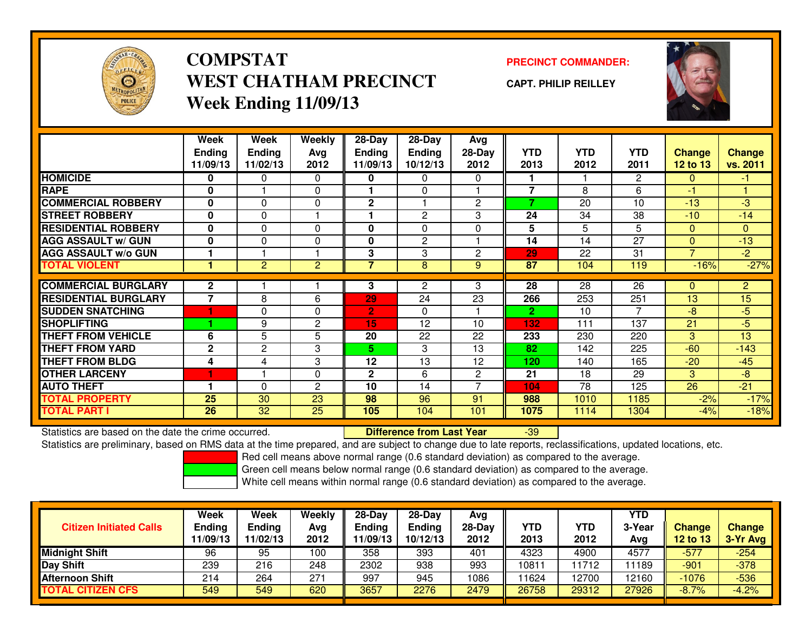

# **COMPSTATWEST CHATHAM PRECINCTWeek Ending 11/09/13**

### **PRECINCT COMMANDER:**

**CAPT. PHILIP REILLEY**



|                             | Week           | Week           | Weekly         | $28-Day$       | 28-Day         | Avg            |                |            |                |                 |                |
|-----------------------------|----------------|----------------|----------------|----------------|----------------|----------------|----------------|------------|----------------|-----------------|----------------|
|                             | <b>Ending</b>  | <b>Ending</b>  | Avg            | <b>Ending</b>  | <b>Ending</b>  | 28-Day         | <b>YTD</b>     | <b>YTD</b> | <b>YTD</b>     | <b>Change</b>   | <b>Change</b>  |
|                             | 11/09/13       | 11/02/13       | 2012           | 11/09/13       | 10/12/13       | 2012           | 2013           | 2012       | 2011           | <b>12 to 13</b> | vs. 2011       |
| <b>HOMICIDE</b>             | 0              | 0              | 0              | 0              | 0              | 0              |                |            | $\mathbf{2}$   | $\Omega$        | $-1$           |
| <b>RAPE</b>                 | 0              |                | $\Omega$       |                | $\Omega$       |                | $\overline{7}$ | 8          | 6              | -1              |                |
| <b>COMMERCIAL ROBBERY</b>   | 0              | $\Omega$       | 0              | $\mathbf{2}$   |                | $\mathbf{2}$   | 7              | 20         | 10             | $-13$           | -3             |
| <b>STREET ROBBERY</b>       | 0              | $\Omega$       |                |                | $\overline{c}$ | 3              | 24             | 34         | 38             | $-10$           | $-14$          |
| <b>RESIDENTIAL ROBBERY</b>  | $\bf{0}$       | $\Omega$       | $\Omega$       | 0              | $\Omega$       | $\Omega$       | 5              | 5          | 5              | $\Omega$        | $\mathbf{0}$   |
| <b>AGG ASSAULT w/ GUN</b>   | $\bf{0}$       | $\Omega$       | 0              | 0              | $\overline{c}$ |                | 14             | 14         | 27             | $\Omega$        | $-13$          |
| <b>AGG ASSAULT w/o GUN</b>  |                |                |                | 3              | 3              | $\overline{2}$ | 29             | 22         | 31             | $\overline{7}$  | $-2$           |
| <b>TOTAL VIOLENT</b>        |                | $\overline{2}$ | $\overline{c}$ | 7              | 8              | 9              | 87             | 104        | 119            | $-16%$          | $-27%$         |
|                             |                |                |                |                |                |                |                |            |                |                 |                |
| <b>COMMERCIAL BURGLARY</b>  | $\mathbf{2}$   |                |                | 3              | $\overline{2}$ | 3              | 28             | 28         | 26             | $\Omega$        | $\overline{2}$ |
| <b>RESIDENTIAL BURGLARY</b> | $\overline{7}$ | 8              | 6              | 29             | 24             | 23             | 266            | 253        | 251            | 13              | 15             |
| <b>SUDDEN SNATCHING</b>     |                | $\Omega$       | $\Omega$       | $\overline{2}$ | $\Omega$       |                | 2.             | 10         | $\overline{7}$ | $-8$            | $-5$           |
| <b>SHOPLIFTING</b>          |                | 9              | 2              | 15             | 12             | 10             | 132            | 111        | 137            | 21              | $-5$           |
| <b>THEFT FROM VEHICLE</b>   | 6              | 5              | 5              | 20             | 22             | 22             | 233            | 230        | 220            | 3               | 13             |
| <b>THEFT FROM YARD</b>      | $\mathbf{2}$   | 2              | 3              | 5.             | 3              | 13             | 82             | 142        | 225            | $-60$           | $-143$         |
| <b>THEFT FROM BLDG</b>      | 4              | 4              | 3              | 12             | 13             | 12             | 120            | 140        | 165            | $-20$           | $-45$          |
| <b>OTHER LARCENY</b>        | 1              |                | $\Omega$       | $\mathbf{2}$   | 6              | $\overline{2}$ | 21             | 18         | 29             | 3               | -8             |
| <b>AUTO THEFT</b>           |                | 0              | 2              | 10             | 14             | ⇁              | 104            | 78         | 125            | 26              | $-21$          |
| <b>TOTAL PROPERTY</b>       | 25             | 30             | 23             | 98             | 96             | 91             | 988            | 1010       | 1185           | $-2%$           | $-17%$         |
| <b>TOTAL PART I</b>         | 26             | 32             | 25             | 105            | 104            | 101            | 1075           | 1114       | 1304           | $-4%$           | $-18%$         |

Statistics are based on the date the crime occurred. **Difference from Last Year** 

Statistics are based on the date the crime occurred. **Exerce the Lub of Lifterence from Last Year Figure 139 Exer**<br>Statistics are preliminary, based on RMS data at the time prepared, and are subject to change due to late r

Red cell means above normal range (0.6 standard deviation) as compared to the average.

Green cell means below normal range (0.6 standard deviation) as compared to the average.

| <b>Citizen Initiated Calls</b> | Week<br><b>Ending</b><br>11/09/13 | Week<br><b>Ending</b><br>11/02/13 | Weekly<br>Avg<br>2012 | $28-Day$<br>Ending<br>1/09/13 | $28-Day$<br><b>Ending</b><br>10/12/13 | Avg<br>28-Day<br>2012 | YTD<br>2013 | YTD<br>2012 | <b>YTD</b><br>3-Year<br>Avg | <b>Change</b><br>12 to 13 | <b>Change</b><br>3-Yr Avg |
|--------------------------------|-----------------------------------|-----------------------------------|-----------------------|-------------------------------|---------------------------------------|-----------------------|-------------|-------------|-----------------------------|---------------------------|---------------------------|
| <b>Midnight Shift</b>          | 96                                | 95                                | 100                   | 358                           | 393                                   | 401                   | 4323        | 4900        | 4577                        | $-577$                    | $-254$                    |
| <b>Day Shift</b>               | 239                               | 216                               | 248                   | 2302                          | 938                                   | 993                   | 10811       | 1712        | 11189                       | $-901$                    | $-378$                    |
| <b>Afternoon Shift</b>         | 214                               | 264                               | 271                   | 997                           | 945                                   | 1086                  | 11624       | 12700       | 12160                       | $-1076$                   | $-536$                    |
| <b>TOTAL CITIZEN CFS</b>       | 549                               | 549                               | 620                   | 3657                          | 2276                                  | 2479                  | 26758       | 29312       | 27926                       | $-8.7%$                   | $-4.2%$                   |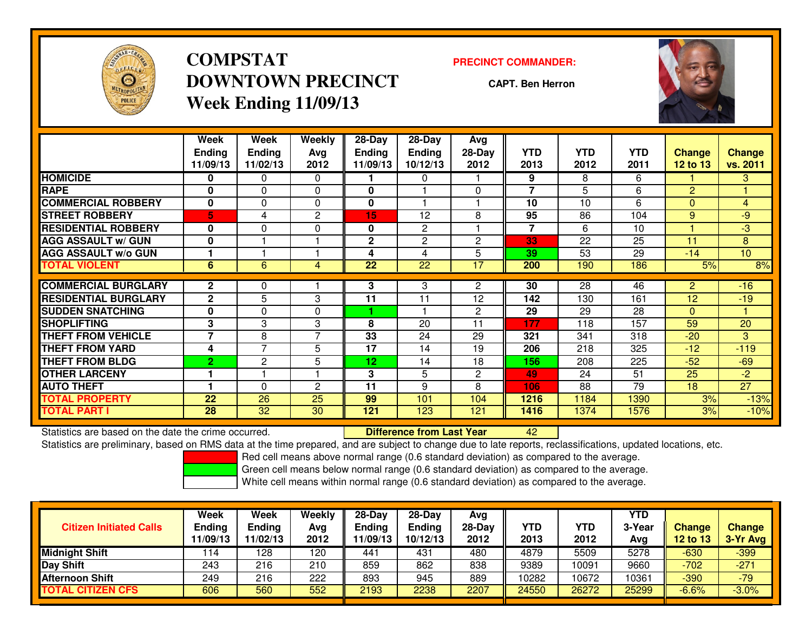

# **COMPSTATDOWNTOWN PRECINCTWeek Ending 11/09/13**

#### **PRECINCT COMMANDER:**

**CAPT. Ben Herron**



|                             | Week<br><b>Endina</b><br>11/09/13 | Week<br><b>Ending</b><br>11/02/13 | Weekly<br>Avg<br>2012 | 28-Day<br>Endina<br>11/09/13 | 28-Day<br><b>Endina</b><br>10/12/13 | Avg<br>$28-Day$<br>2012 | <b>YTD</b><br>2013 | <b>YTD</b><br>2012 | <b>YTD</b><br>2011 | Change<br><b>12 to 13</b> | <b>Change</b><br>vs. 2011 |
|-----------------------------|-----------------------------------|-----------------------------------|-----------------------|------------------------------|-------------------------------------|-------------------------|--------------------|--------------------|--------------------|---------------------------|---------------------------|
| <b>HOMICIDE</b>             | 0                                 | 0                                 | 0                     |                              | 0                                   |                         | 9                  | 8                  | 6                  |                           | 3                         |
| <b>RAPE</b>                 | $\mathbf 0$                       | $\Omega$                          | $\mathbf{0}$          | $\mathbf{0}$                 |                                     | $\Omega$                | 7                  | 5                  | 6                  | 2                         |                           |
| <b>COMMERCIAL ROBBERY</b>   | $\mathbf 0$                       | $\Omega$                          | 0                     | $\mathbf{0}$                 |                                     |                         | 10                 | 10                 | 6                  | $\Omega$                  | $\overline{4}$            |
| <b>STREET ROBBERY</b>       | 5                                 | 4                                 | 2                     | 15                           | 12                                  | 8                       | 95                 | 86                 | 104                | 9                         | -9                        |
| <b>RESIDENTIAL ROBBERY</b>  | $\bf{0}$                          | $\Omega$                          | 0                     | 0                            | $\overline{c}$                      |                         | 7                  | 6                  | 10                 |                           | -3                        |
| <b>AGG ASSAULT w/ GUN</b>   | 0                                 |                                   |                       | 2                            | $\overline{c}$                      | 2                       | 33                 | 22                 | 25                 | 11                        | 8                         |
| <b>AGG ASSAULT w/o GUN</b>  |                                   |                                   |                       | 4                            | 4                                   | 5                       | 39                 | 53                 | 29                 | $-14$                     | 10                        |
| <b>TOTAL VIOLENT</b>        | 6                                 | 6                                 | 4                     | 22                           | 22                                  | 17                      | 200                | 190                | 186                | 5%                        | 8%                        |
|                             |                                   |                                   |                       |                              |                                     |                         |                    |                    |                    |                           |                           |
| <b>COMMERCIAL BURGLARY</b>  | $\mathbf{2}$                      | 0                                 |                       | 3                            | 3                                   | $\overline{2}$          | 30                 | 28                 | 46                 | $\overline{2}$            | $-16$                     |
| <b>RESIDENTIAL BURGLARY</b> | $\mathbf{2}$                      | 5                                 | 3                     | 11                           | 11                                  | 12                      | 142                | 130                | 161                | 12                        | $-19$                     |
| <b>SUDDEN SNATCHING</b>     | 0                                 | 0                                 | 0                     | 4                            |                                     | 2                       | 29                 | 29                 | 28                 | $\mathbf{0}$              |                           |
| <b>SHOPLIFTING</b>          | 3                                 | 3                                 | 3                     | 8                            | 20                                  | 11                      | 177                | 118                | 157                | 59                        | 20                        |
| <b>THEFT FROM VEHICLE</b>   | $\overline{\phantom{a}}$          | 8                                 | $\overline{7}$        | 33                           | 24                                  | 29                      | 321                | 341                | 318                | $-20$                     | 3                         |
| <b>THEFT FROM YARD</b>      | 4                                 | $\overline{ }$                    | 5                     | 17                           | 14                                  | 19                      | 206                | 218                | 325                | $-12$                     | $-119$                    |
| <b>THEFT FROM BLDG</b>      | $\overline{2}$                    | $\mathbf{2}$                      | 5                     | 12                           | 14                                  | 18                      | 156                | 208                | 225                | $-52$                     | $-69$                     |
| <b>OTHER LARCENY</b>        |                                   |                                   |                       | 3                            | 5                                   | $\overline{2}$          | 49                 | 24                 | 51                 | 25                        | $-2$                      |
| <b>AUTO THEFT</b>           |                                   | $\Omega$                          | $\mathbf{c}$          | 11                           | 9                                   | 8                       | 106                | 88                 | 79                 | 18                        | 27                        |
| <b>TOTAL PROPERTY</b>       | 22                                | 26                                | 25                    | 99                           | 101                                 | 104                     | 1216               | 1184               | 1390               | 3%                        | $-13%$                    |
| <b>TOTAL PART I</b>         | 28                                | 32                                | 30                    | 121                          | 123                                 | 121                     | 1416               | 1374               | 1576               | 3%                        | $-10%$                    |

Statistics are based on the date the crime occurred. **Difference from Last Year** 

Statistics are based on the date the crime occurred.<br>Statistics are preliminary, based on RMS data at the time prepared, and are subject to change due to late reports, reclassifications, updated locations, etc.

Red cell means above normal range (0.6 standard deviation) as compared to the average.

Green cell means below normal range (0.6 standard deviation) as compared to the average.

| <b>Citizen Initiated Calls</b> | Week<br><b>Ending</b><br>11/09/13 | Week<br><b>Ending</b><br>11/02/13 | Weekly<br>Avg<br>2012 | $28-Day$<br><b>Ending</b><br>11/09/13 | $28-Day$<br><b>Ending</b><br>10/12/13 | Avg<br>28-Day<br>2012 | YTD<br>2013 | YTD<br>2012 | <b>YTD</b><br>3-Year<br>Avg | <b>Change</b><br><b>12 to 13</b> | <b>Change</b><br>3-Yr Avg |
|--------------------------------|-----------------------------------|-----------------------------------|-----------------------|---------------------------------------|---------------------------------------|-----------------------|-------------|-------------|-----------------------------|----------------------------------|---------------------------|
| <b>Midnight Shift</b>          | 114                               | 128                               | 120                   | 441                                   | 431                                   | 480                   | 4879        | 5509        | 5278                        | $-630$                           | $-399$                    |
| Day Shift                      | 243                               | 216                               | 210                   | 859                                   | 862                                   | 838                   | 9389        | 10091       | 9660                        | $-702$                           | $-271$                    |
| <b>Afternoon Shift</b>         | 249                               | 216                               | 222                   | 893                                   | 945                                   | 889                   | 10282       | 10672       | 10361                       | $-390$                           | $-79$                     |
| <b>TOTAL CITIZEN CFS</b>       | 606                               | 560                               | 552                   | 2193                                  | 2238                                  | 2207                  | 24550       | 26272       | 25299                       | $-6.6%$                          | $-3.0%$                   |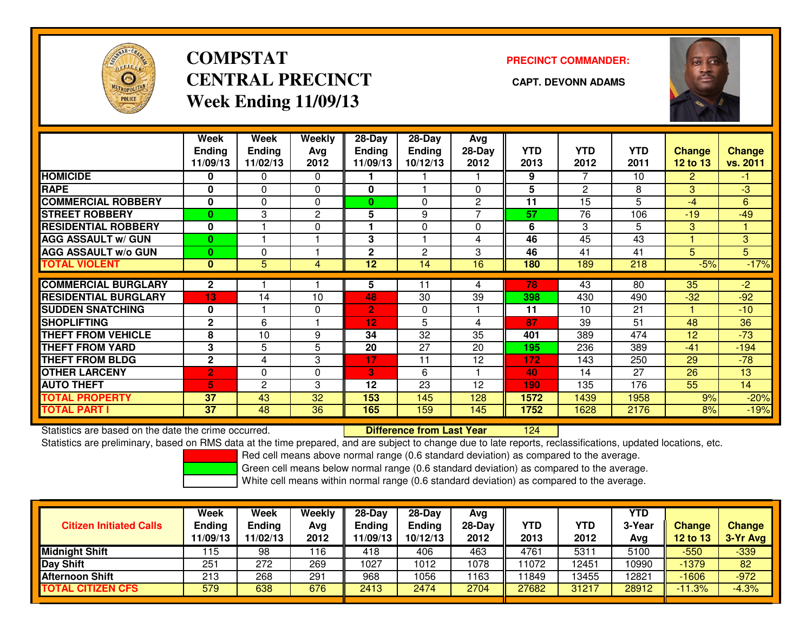

# **COMPSTATCENTRAL PRECINCT** CAPT. DEVONN ADAMS **Week Ending 11/09/13**

### **PRECINCT COMMANDER:**



|                             | Week            | Week          | <b>Weekly</b>  | $28-Day$       | $28$ -Day      | Avg            |            |                 |                 |                |               |
|-----------------------------|-----------------|---------------|----------------|----------------|----------------|----------------|------------|-----------------|-----------------|----------------|---------------|
|                             | <b>Ending</b>   | <b>Ending</b> | Ava            | <b>Ending</b>  | <b>Ending</b>  | 28-Day         | <b>YTD</b> | <b>YTD</b>      | <b>YTD</b>      | <b>Change</b>  | <b>Change</b> |
|                             | 11/09/13        | 11/02/13      | 2012           | 11/09/13       | 10/12/13       | 2012           | 2013       | 2012            | 2011            | 12 to 13       | vs. 2011      |
| <b>HOMICIDE</b>             | 0               | 0             | $\Omega$       |                |                |                | 9          | 7               | 10              | $\overline{2}$ | $-1$          |
| <b>RAPE</b>                 | 0               | $\Omega$      | $\Omega$       | 0              |                | $\Omega$       | 5          | 2               | 8               | 3              | $-3$          |
| <b>COMMERCIAL ROBBERY</b>   | 0               | $\Omega$      | $\Omega$       | $\bf{0}$       | $\Omega$       | $\overline{2}$ | 11         | 15              | 5               | $-4$           | 6             |
| <b>STREET ROBBERY</b>       | $\bf{0}$        | 3             | $\overline{2}$ | 5              | 9              |                | 57         | 76              | 106             | $-19$          | $-49$         |
| <b>RESIDENTIAL ROBBERY</b>  | $\mathbf{0}$    |               | $\Omega$       |                | $\Omega$       | $\Omega$       | 6          | 3               | 5               | 3              |               |
| <b>AGG ASSAULT w/ GUN</b>   | $\bf{0}$        |               |                | 3              |                | 4              | 46         | $\overline{45}$ | $\overline{43}$ |                | 3             |
| <b>AGG ASSAULT w/o GUN</b>  | $\bf{0}$        | 0             |                | $\mathbf{2}$   | $\overline{c}$ | 3              | 46         | 41              | 41              | 5              | 5             |
| <b>TOTAL VIOLENT</b>        | $\mathbf{0}$    | 5             | 4              | 12             | 14             | 16             | 180        | 189             | 218             | $-5%$          | $-17%$        |
| <b>COMMERCIAL BURGLARY</b>  | $\mathbf{2}$    |               |                | 5              | 11             | 4              | 78         | 43              | 80              | 35             | $-2$          |
| <b>RESIDENTIAL BURGLARY</b> | 13              | 14            | 10             | 48             | 30             | 39             | 398        | 430             | 490             | $-32$          | $-92$         |
| <b>ISUDDEN SNATCHING</b>    | $\mathbf{0}$    |               | $\Omega$       | $\overline{2}$ | $\Omega$       |                | 11         | 10              | 21              |                | $-10$         |
|                             |                 |               |                |                |                |                |            |                 |                 |                |               |
| <b>SHOPLIFTING</b>          | $\mathbf{2}$    | 6             |                | 12             | 5              | 4              | 87         | 39              | 51              | 48             | 36            |
| <b>THEFT FROM VEHICLE</b>   | 8               | 10            | 9              | 34             | 32             | 35             | 401        | 389             | 474             | 12             | $-73$         |
| <b>THEFT FROM YARD</b>      | 3               | 5             | 5              | 20             | 27             | 20             | 195        | 236             | 389             | $-41$          | $-194$        |
| <b>THEFT FROM BLDG</b>      | $\mathbf{2}$    | 4             | 3              | 17             | 11             | 12             | 172        | 143             | 250             | 29             | $-78$         |
| <b>OTHER LARCENY</b>        | $\overline{2}$  | $\Omega$      | $\Omega$       | 3              | 6              |                | 40         | 14              | 27              | 26             | 13            |
| <b>AUTO THEFT</b>           | 5.              | 2             | 3              | 12             | 23             | 12             | 190        | 135             | 176             | 55             | 14            |
| <b>TOTAL PROPERTY</b>       | 37              | 43            | 32             | 153            | 145            | 128            | 1572       | 1439            | 1958            | 9%             | $-20%$        |
| <b>TOTAL PART I</b>         | $\overline{37}$ | 48            | 36             | 165            | 159            | 145            | 1752       | 1628            | 2176            | 8%             | $-19%$        |

Statistics are based on the date the crime occurred. **Difference from Last Year** 

<sup>124</sup>

Statistics are preliminary, based on RMS data at the time prepared, and are subject to change due to late reports, reclassifications, updated locations, etc.

Red cell means above normal range (0.6 standard deviation) as compared to the average.

Green cell means below normal range (0.6 standard deviation) as compared to the average.

| <b>Citizen Initiated Calls</b> | Week<br>Ending<br>1/09/13 | Week<br>Ending<br>11/02/13 | Weekly<br>Avg<br>2012 | $28-Day$<br><b>Ending</b><br>11/09/13 | $28 - Day$<br><b>Ending</b><br>10/12/13 | Avg<br>28-Day<br>2012 | YTD<br>2013 | YTD<br>2012 | <b>YTD</b><br>3-Year<br>Avg | <b>Change</b><br><b>12 to 13</b> | <b>Change</b><br>3-Yr Avg |
|--------------------------------|---------------------------|----------------------------|-----------------------|---------------------------------------|-----------------------------------------|-----------------------|-------------|-------------|-----------------------------|----------------------------------|---------------------------|
| <b>Midnight Shift</b>          | 115                       | 98                         | 16                    | 418                                   | 406                                     | 463                   | 4761        | 5311        | 5100                        | $-550$                           | $-339$                    |
| Day Shift                      | 251                       | 272                        | 269                   | 1027                                  | 1012                                    | 1078                  | 11072       | 12451       | 10990                       | $-1379$                          | 82                        |
| <b>Afternoon Shift</b>         | 213                       | 268                        | 291                   | 968                                   | 1056                                    | 1163                  | 1849        | 13455       | 12821                       | $-1606$                          | $-972$                    |
| <b>TOTAL CITIZEN CFS</b>       | 579                       | 638                        | 676                   | 2413                                  | 2474                                    | 2704                  | 27682       | 31217       | 28912                       | $-11.3%$                         | $-4.3%$                   |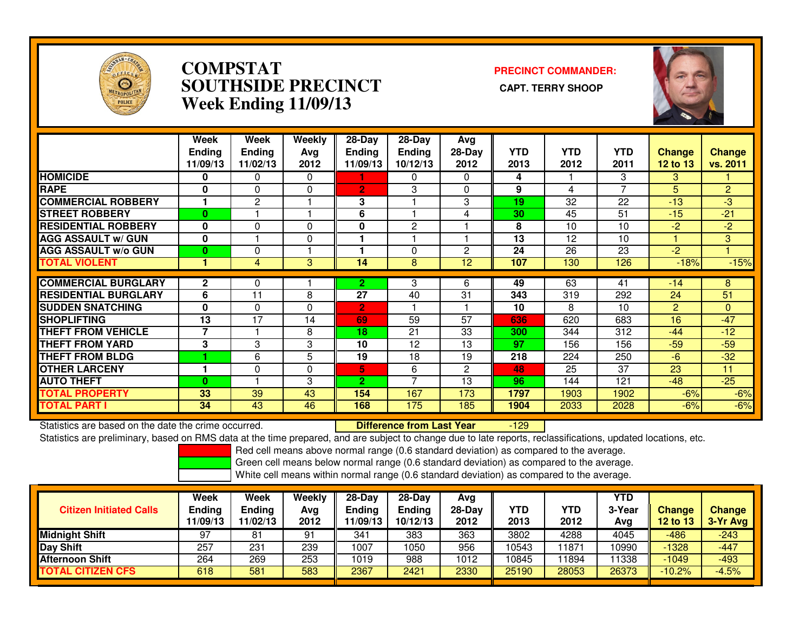

### **COMPSTAT PRECINCT COMMANDER: SOUTHSIDE PRECINCT CAPT. TERRY SHOOPWeek Ending 11/09/13**



|                             | Week<br><b>Endina</b><br>11/09/13 | Week<br><b>Endina</b><br>11/02/13 | <b>Weekly</b><br>Avg<br>2012 | $28-Day$<br><b>Endina</b><br>11/09/13 | $28$ -Day<br><b>Ending</b><br>10/12/13 | Avg<br>$28-Day$<br>2012 | <b>YTD</b><br>2013 | <b>YTD</b><br>2012 | <b>YTD</b><br>2011 | <b>Change</b><br>12 to 13 | <b>Change</b><br>vs. 2011 |
|-----------------------------|-----------------------------------|-----------------------------------|------------------------------|---------------------------------------|----------------------------------------|-------------------------|--------------------|--------------------|--------------------|---------------------------|---------------------------|
| <b>HOMICIDE</b>             | 0                                 | 0                                 | $\Omega$                     |                                       | 0                                      | $\Omega$                | 4                  |                    | 3                  | 3                         |                           |
| <b>RAPE</b>                 | $\bf{0}$                          | $\Omega$                          | $\Omega$                     | $\overline{2}$                        | 3                                      | $\Omega$                | 9                  | 4                  | 7                  | 5                         | 2                         |
| <b>COMMERCIAL ROBBERY</b>   |                                   | 2                                 |                              | 3                                     |                                        | 3                       | 19                 | 32                 | 22                 | $-13$                     | -3                        |
| <b>STREET ROBBERY</b>       | $\bf{0}$                          |                                   |                              | 6                                     |                                        | 4                       | 30                 | 45                 | 51                 | $-15$                     | $-21$                     |
| <b>RESIDENTIAL ROBBERY</b>  | $\bf{0}$                          | $\Omega$                          | $\Omega$                     | 0                                     | $\overline{2}$                         |                         | 8                  | 10                 | 10                 | $-2$                      | $-2$                      |
| <b>AGG ASSAULT w/ GUN</b>   | 0                                 |                                   | 0                            |                                       |                                        |                         | 13                 | 12                 | 10                 |                           | 3 <sup>1</sup>            |
| <b>AGG ASSAULT w/o GUN</b>  | $\bf{0}$                          | $\Omega$                          |                              |                                       | $\Omega$                               | $\overline{c}$          | 24                 | 26                 | 23                 | $-2$                      |                           |
| <b>TOTAL VIOLENT</b>        | и                                 | 4                                 | 3                            | 14                                    | 8                                      | 12                      | 107                | 130                | 126                | $-18%$                    | $-15%$                    |
| <b>COMMERCIAL BURGLARY</b>  |                                   |                                   |                              |                                       |                                        |                         |                    |                    |                    |                           |                           |
|                             | $\mathbf{2}$                      | 0                                 |                              | 2                                     | 3                                      | 6                       | 49                 | 63                 | 41                 | $-14$                     | 8                         |
| <b>RESIDENTIAL BURGLARY</b> | 6                                 | 11                                | 8                            | 27                                    | 40                                     | 31                      | 343                | 319                | 292                | 24                        | 51                        |
| <b>SUDDEN SNATCHING</b>     | $\bf{0}$                          | 0                                 | 0                            | 2                                     |                                        |                         | 10                 | 8                  | 10                 | 2                         | $\Omega$                  |
| <b>SHOPLIFTING</b>          | 13                                | 17                                | 14                           | 69                                    | 59                                     | 57                      | 636                | 620                | 683                | 16                        | $-47$                     |
| <b>THEFT FROM VEHICLE</b>   | 7                                 |                                   | 8                            | 18                                    | 21                                     | 33                      | 300                | 344                | 312                | $-44$                     | $-12$                     |
| <b>THEFT FROM YARD</b>      | 3                                 | 3                                 | 3                            | 10                                    | 12                                     | 13                      | 97                 | 156                | 156                | $-59$                     | $-59$                     |
| <b>THEFT FROM BLDG</b>      |                                   | 6                                 | 5                            | 19                                    | 18                                     | 19                      | 218                | 224                | 250                | $-6$                      | $-32$                     |
| <b>OTHER LARCENY</b>        |                                   | 0                                 | $\Omega$                     | 5                                     | 6                                      | $\overline{2}$          | 48                 | 25                 | 37                 | 23                        | 11                        |
| <b>AUTO THEFT</b>           | $\bf{0}$                          |                                   | 3                            | $\overline{2}$                        | $\overline{\phantom{a}}$               | 13                      | 96                 | 144                | 121                | $-48$                     | $-25$                     |
| <b>TOTAL PROPERTY</b>       | 33                                | 39                                | 43                           | 154                                   | 167                                    | 173                     | 1797               | 1903               | 1902               | $-6%$                     | $-6%$                     |
| <b>TOTAL PART I</b>         | 34                                | 43                                | 46                           | 168                                   | 175                                    | 185                     | 1904               | 2033               | 2028               | $-6%$                     | $-6%$                     |

Statistics are based on the date the crime occurred. **Difference from Last Year**  -129Statistics are preliminary, based on RMS data at the time prepared, and are subject to change due to late reports, reclassifications, updated locations, etc.

Red cell means above normal range (0.6 standard deviation) as compared to the average.

Green cell means below normal range (0.6 standard deviation) as compared to the average.

| <b>Citizen Initiated Calls</b> | <b>Week</b><br><b>Ending</b><br>11/09/13 | Week<br>Ending<br>11/02/13 | Weekly<br>Avg<br>2012 | $28-Day$<br>Ending<br>1/09/13 | $28-Dav$<br><b>Ending</b><br>10/12/13 | Avg<br>$28-Day$<br>2012 | YTD<br>2013 | YTD<br>2012 | <b>YTD</b><br>3-Year<br>Avg | <b>Change</b><br>12 to 13 | <b>Change</b><br>3-Yr Avg |
|--------------------------------|------------------------------------------|----------------------------|-----------------------|-------------------------------|---------------------------------------|-------------------------|-------------|-------------|-----------------------------|---------------------------|---------------------------|
| <b>Midnight Shift</b>          | 97                                       | 81                         | 91                    | 341                           | 383                                   | 363                     | 3802        | 4288        | 4045                        | $-486$                    | $-243$                    |
| <b>Day Shift</b>               | 257                                      | 231                        | 239                   | 1007                          | 1050                                  | 956                     | 10543       | 1871        | 10990                       | $-1328$                   | $-447$                    |
| <b>Afternoon Shift</b>         | 264                                      | 269                        | 253                   | 1019                          | 988                                   | 1012                    | 10845       | 1894        | 11338                       | $-1049$                   | $-493$                    |
| TOTAL CITIZEN CFS              | 618                                      | 581                        | 583                   | 2367                          | 2421                                  | 2330                    | 25190       | 28053       | 26373                       | $-10.2%$                  | $-4.5%$                   |